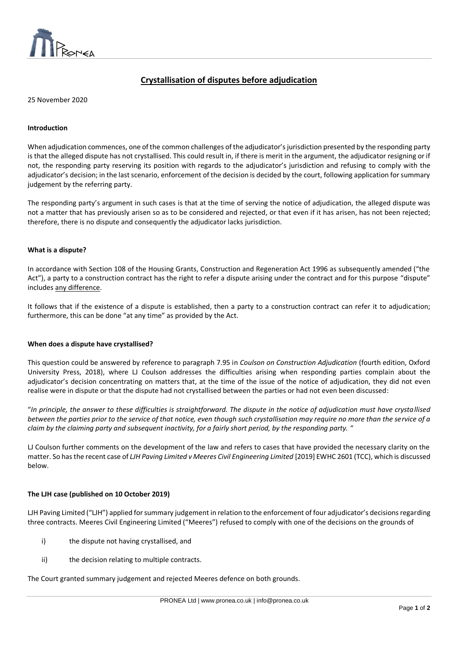

# **Crystallisation of disputes before adjudication**

 $\overline{a}$ 

25 November 2020

## **Introduction**

When adjudication commences, one of the common challenges of the adjudicator's jurisdiction presented by the responding party is that the alleged dispute has not crystallised. This could result in, if there is merit in the argument, the adjudicator resigning or if not, the responding party reserving its position with regards to the adjudicator's jurisdiction and refusing to comply with the adjudicator's decision; in the last scenario, enforcement of the decision is decided by the court, following application for summary judgement by the referring party.

The responding party's argument in such cases is that at the time of serving the notice of adjudication, the alleged dispute was not a matter that has previously arisen so as to be considered and rejected, or that even if it has arisen, has not been rejected; therefore, there is no dispute and consequently the adjudicator lacks jurisdiction.

## **What is a dispute?**

In accordance with Section 108 of the Housing Grants, Construction and Regeneration Act 1996 as subsequently amended ("the Act"), a party to a construction contract has the right to refer a dispute arising under the contract and for this purpose "dispute" includes any difference.

It follows that if the existence of a dispute is established, then a party to a construction contract can refer it to adjudication; furthermore, this can be done "at any time" as provided by the Act.

#### **When does a dispute have crystallised?**

This question could be answered by reference to paragraph 7.95 in *Coulson on Construction Adjudication* (fourth edition, Oxford University Press, 2018), where LJ Coulson addresses the difficulties arising when responding parties complain about the adjudicator's decision concentrating on matters that, at the time of the issue of the notice of adjudication, they did not even realise were in dispute or that the dispute had not crystallised between the parties or had not even been discussed:

"*In principle, the answer to these difficulties is straightforward. The dispute in the notice of adjudication must have crystallised between the parties prior to the service of that notice, even though such crystallisation may require no more than the service of a claim by the claiming party and subsequent inactivity, for a fairly short period, by the responding party.* "

LJ Coulson further comments on the development of the law and refers to cases that have provided the necessary clarity on the matter. So has the recent case of *LJH Paving Limited v Meeres Civil Engineering Limited* [2019] EWHC 2601 (TCC), which is discussed below.

# **The LJH case (published on 10 October 2019)**

LJH Paving Limited ("LJH") applied for summary judgement in relation to the enforcement of four adjudicator's decisions regarding three contracts. Meeres Civil Engineering Limited ("Meeres") refused to comply with one of the decisions on the grounds of

- i) the dispute not having crystallised, and
- ii) the decision relating to multiple contracts.

The Court granted summary judgement and rejected Meeres defence on both grounds.